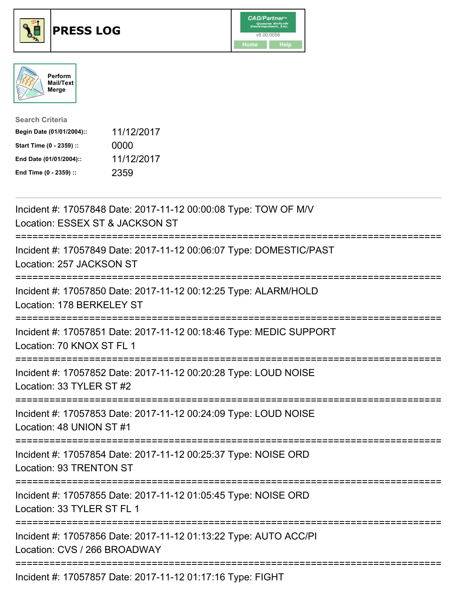





| <b>Search Criteria</b>    |            |
|---------------------------|------------|
| Begin Date (01/01/2004):: | 11/12/2017 |
| Start Time (0 - 2359) ::  | 0000       |
| End Date (01/01/2004)::   | 11/12/2017 |
| End Time (0 - 2359) ::    | 2359       |

| Incident #: 17057848 Date: 2017-11-12 00:00:08 Type: TOW OF M/V<br>Location: ESSEX ST & JACKSON ST                                                |
|---------------------------------------------------------------------------------------------------------------------------------------------------|
| Incident #: 17057849 Date: 2017-11-12 00:06:07 Type: DOMESTIC/PAST<br>Location: 257 JACKSON ST<br>=================<br>-------------------------- |
| Incident #: 17057850 Date: 2017-11-12 00:12:25 Type: ALARM/HOLD<br>Location: 178 BERKELEY ST<br>-------------                                     |
| Incident #: 17057851 Date: 2017-11-12 00:18:46 Type: MEDIC SUPPORT<br>Location: 70 KNOX ST FL 1<br>======================                         |
| Incident #: 17057852 Date: 2017-11-12 00:20:28 Type: LOUD NOISE<br>Location: 33 TYLER ST #2                                                       |
| :=====================================<br>Incident #: 17057853 Date: 2017-11-12 00:24:09 Type: LOUD NOISE<br>Location: 48 UNION ST #1             |
| Incident #: 17057854 Date: 2017-11-12 00:25:37 Type: NOISE ORD<br>Location: 93 TRENTON ST                                                         |
| Incident #: 17057855 Date: 2017-11-12 01:05:45 Type: NOISE ORD<br>Location: 33 TYLER ST FL 1                                                      |
| Incident #: 17057856 Date: 2017-11-12 01:13:22 Type: AUTO ACC/PI<br>Location: CVS / 266 BROADWAY                                                  |
| Incident #: 17057857 Date: 2017-11-12 01:17:16 Type: FIGHT                                                                                        |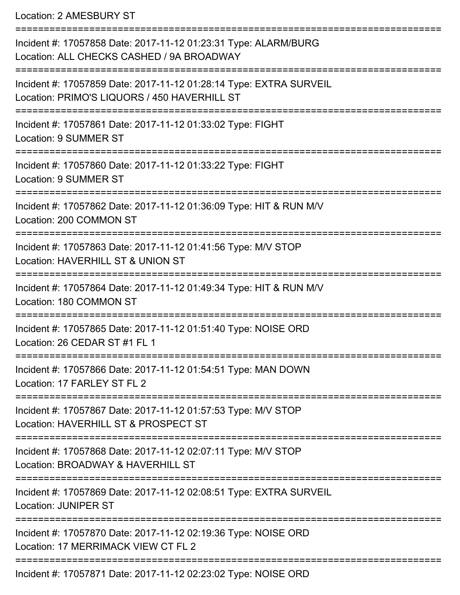Location: 2 AMESBURY ST

| Incident #: 17057858 Date: 2017-11-12 01:23:31 Type: ALARM/BURG<br>Location: ALL CHECKS CASHED / 9A BROADWAY       |
|--------------------------------------------------------------------------------------------------------------------|
| Incident #: 17057859 Date: 2017-11-12 01:28:14 Type: EXTRA SURVEIL<br>Location: PRIMO'S LIQUORS / 450 HAVERHILL ST |
| Incident #: 17057861 Date: 2017-11-12 01:33:02 Type: FIGHT<br>Location: 9 SUMMER ST                                |
| Incident #: 17057860 Date: 2017-11-12 01:33:22 Type: FIGHT<br><b>Location: 9 SUMMER ST</b>                         |
| Incident #: 17057862 Date: 2017-11-12 01:36:09 Type: HIT & RUN M/V<br>Location: 200 COMMON ST                      |
| Incident #: 17057863 Date: 2017-11-12 01:41:56 Type: M/V STOP<br>Location: HAVERHILL ST & UNION ST                 |
| Incident #: 17057864 Date: 2017-11-12 01:49:34 Type: HIT & RUN M/V<br>Location: 180 COMMON ST                      |
| Incident #: 17057865 Date: 2017-11-12 01:51:40 Type: NOISE ORD<br>Location: 26 CEDAR ST #1 FL 1                    |
| Incident #: 17057866 Date: 2017-11-12 01:54:51 Type: MAN DOWN<br>Location: 17 FARLEY ST FL 2                       |
| Incident #: 17057867 Date: 2017-11-12 01:57:53 Type: M/V STOP<br>Location: HAVERHILL ST & PROSPECT ST              |
| Incident #: 17057868 Date: 2017-11-12 02:07:11 Type: M/V STOP<br>Location: BROADWAY & HAVERHILL ST                 |
| Incident #: 17057869 Date: 2017-11-12 02:08:51 Type: EXTRA SURVEIL<br><b>Location: JUNIPER ST</b>                  |
| Incident #: 17057870 Date: 2017-11-12 02:19:36 Type: NOISE ORD<br>Location: 17 MERRIMACK VIEW CT FL 2              |
| Incident #: 17057871 Date: 2017-11-12 02:23:02 Type: NOISE ORD                                                     |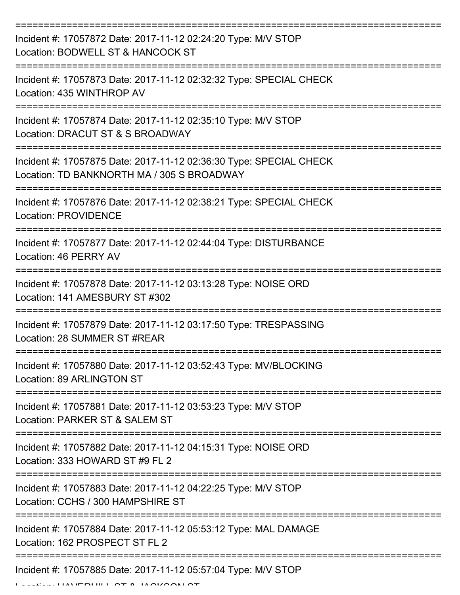| Incident #: 17057872 Date: 2017-11-12 02:24:20 Type: M/V STOP<br>Location: BODWELL ST & HANCOCK ST               |
|------------------------------------------------------------------------------------------------------------------|
| Incident #: 17057873 Date: 2017-11-12 02:32:32 Type: SPECIAL CHECK<br>Location: 435 WINTHROP AV                  |
| Incident #: 17057874 Date: 2017-11-12 02:35:10 Type: M/V STOP<br>Location: DRACUT ST & S BROADWAY                |
| Incident #: 17057875 Date: 2017-11-12 02:36:30 Type: SPECIAL CHECK<br>Location: TD BANKNORTH MA / 305 S BROADWAY |
| Incident #: 17057876 Date: 2017-11-12 02:38:21 Type: SPECIAL CHECK<br><b>Location: PROVIDENCE</b>                |
| Incident #: 17057877 Date: 2017-11-12 02:44:04 Type: DISTURBANCE<br>Location: 46 PERRY AV                        |
| Incident #: 17057878 Date: 2017-11-12 03:13:28 Type: NOISE ORD<br>Location: 141 AMESBURY ST #302                 |
| Incident #: 17057879 Date: 2017-11-12 03:17:50 Type: TRESPASSING<br>Location: 28 SUMMER ST #REAR                 |
| Incident #: 17057880 Date: 2017-11-12 03:52:43 Type: MV/BLOCKING<br>Location: 89 ARLINGTON ST                    |
| Incident #: 17057881 Date: 2017-11-12 03:53:23 Type: M/V STOP<br>Location: PARKER ST & SALEM ST                  |
| Incident #: 17057882 Date: 2017-11-12 04:15:31 Type: NOISE ORD<br>Location: 333 HOWARD ST #9 FL 2                |
| Incident #: 17057883 Date: 2017-11-12 04:22:25 Type: M/V STOP<br>Location: CCHS / 300 HAMPSHIRE ST               |
| Incident #: 17057884 Date: 2017-11-12 05:53:12 Type: MAL DAMAGE<br>Location: 162 PROSPECT ST FL 2                |
| Incident #: 17057885 Date: 2017-11-12 05:57:04 Type: M/V STOP                                                    |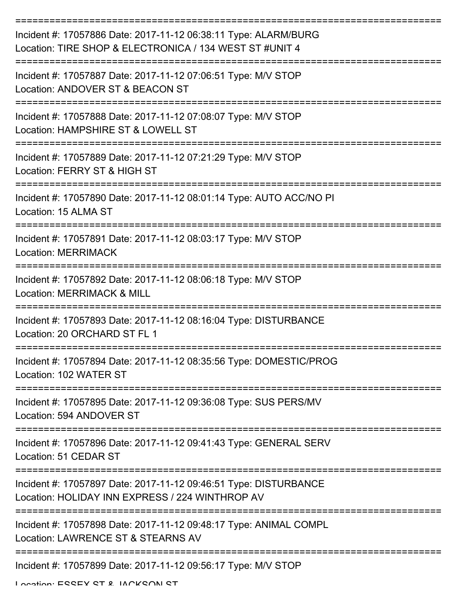| Incident #: 17057886 Date: 2017-11-12 06:38:11 Type: ALARM/BURG<br>Location: TIRE SHOP & ELECTRONICA / 134 WEST ST #UNIT 4 |
|----------------------------------------------------------------------------------------------------------------------------|
| Incident #: 17057887 Date: 2017-11-12 07:06:51 Type: M/V STOP<br>Location: ANDOVER ST & BEACON ST                          |
| Incident #: 17057888 Date: 2017-11-12 07:08:07 Type: M/V STOP<br>Location: HAMPSHIRE ST & LOWELL ST                        |
| Incident #: 17057889 Date: 2017-11-12 07:21:29 Type: M/V STOP<br>Location: FERRY ST & HIGH ST                              |
| Incident #: 17057890 Date: 2017-11-12 08:01:14 Type: AUTO ACC/NO PI<br>Location: 15 ALMA ST                                |
| Incident #: 17057891 Date: 2017-11-12 08:03:17 Type: M/V STOP<br><b>Location: MERRIMACK</b>                                |
| Incident #: 17057892 Date: 2017-11-12 08:06:18 Type: M/V STOP<br><b>Location: MERRIMACK &amp; MILL</b>                     |
| Incident #: 17057893 Date: 2017-11-12 08:16:04 Type: DISTURBANCE<br>Location: 20 ORCHARD ST FL 1                           |
| Incident #: 17057894 Date: 2017-11-12 08:35:56 Type: DOMESTIC/PROG<br>Location: 102 WATER ST                               |
| Incident #: 17057895 Date: 2017-11-12 09:36:08 Type: SUS PERS/MV<br>Location: 594 ANDOVER ST                               |
| Incident #: 17057896 Date: 2017-11-12 09:41:43 Type: GENERAL SERV<br>Location: 51 CEDAR ST                                 |
| Incident #: 17057897 Date: 2017-11-12 09:46:51 Type: DISTURBANCE<br>Location: HOLIDAY INN EXPRESS / 224 WINTHROP AV        |
| Incident #: 17057898 Date: 2017-11-12 09:48:17 Type: ANIMAL COMPL<br>Location: LAWRENCE ST & STEARNS AV                    |
| Incident #: 17057899 Date: 2017-11-12 09:56:17 Type: M/V STOP                                                              |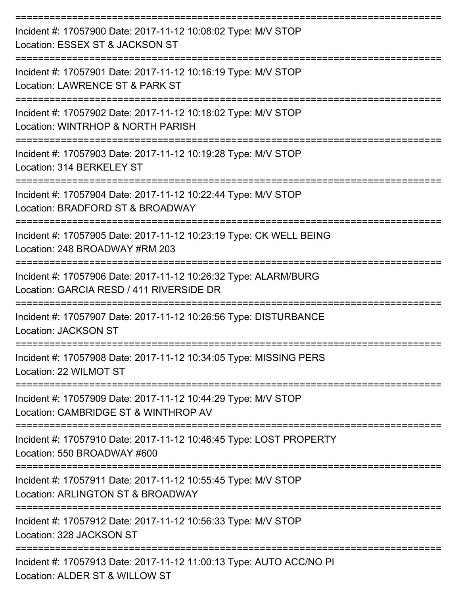| Incident #: 17057900 Date: 2017-11-12 10:08:02 Type: M/V STOP<br>Location: ESSEX ST & JACKSON ST                          |
|---------------------------------------------------------------------------------------------------------------------------|
| Incident #: 17057901 Date: 2017-11-12 10:16:19 Type: M/V STOP<br>Location: LAWRENCE ST & PARK ST                          |
| Incident #: 17057902 Date: 2017-11-12 10:18:02 Type: M/V STOP<br>Location: WINTRHOP & NORTH PARISH                        |
| Incident #: 17057903 Date: 2017-11-12 10:19:28 Type: M/V STOP<br>Location: 314 BERKELEY ST                                |
| Incident #: 17057904 Date: 2017-11-12 10:22:44 Type: M/V STOP<br>Location: BRADFORD ST & BROADWAY                         |
| Incident #: 17057905 Date: 2017-11-12 10:23:19 Type: CK WELL BEING<br>Location: 248 BROADWAY #RM 203                      |
| Incident #: 17057906 Date: 2017-11-12 10:26:32 Type: ALARM/BURG<br>Location: GARCIA RESD / 411 RIVERSIDE DR               |
| Incident #: 17057907 Date: 2017-11-12 10:26:56 Type: DISTURBANCE<br><b>Location: JACKSON ST</b>                           |
| Incident #: 17057908 Date: 2017-11-12 10:34:05 Type: MISSING PERS<br>Location: 22 WILMOT ST                               |
| ----------------<br>Incident #: 17057909 Date: 2017-11-12 10:44:29 Type: M/V STOP<br>Location: CAMBRIDGE ST & WINTHROP AV |
| Incident #: 17057910 Date: 2017-11-12 10:46:45 Type: LOST PROPERTY<br>Location: 550 BROADWAY #600                         |
| Incident #: 17057911 Date: 2017-11-12 10:55:45 Type: M/V STOP<br>Location: ARLINGTON ST & BROADWAY                        |
| Incident #: 17057912 Date: 2017-11-12 10:56:33 Type: M/V STOP<br>Location: 328 JACKSON ST                                 |
| Incident #: 17057913 Date: 2017-11-12 11:00:13 Type: AUTO ACC/NO PI<br>Location: ALDER ST & WILLOW ST                     |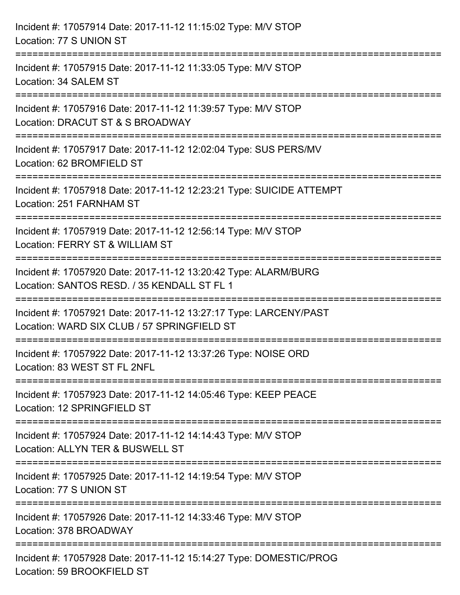| Incident #: 17057914 Date: 2017-11-12 11:15:02 Type: M/V STOP<br>Location: 77 S UNION ST                                           |
|------------------------------------------------------------------------------------------------------------------------------------|
| Incident #: 17057915 Date: 2017-11-12 11:33:05 Type: M/V STOP<br>Location: 34 SALEM ST                                             |
| Incident #: 17057916 Date: 2017-11-12 11:39:57 Type: M/V STOP<br>Location: DRACUT ST & S BROADWAY                                  |
| Incident #: 17057917 Date: 2017-11-12 12:02:04 Type: SUS PERS/MV<br>Location: 62 BROMFIELD ST                                      |
| Incident #: 17057918 Date: 2017-11-12 12:23:21 Type: SUICIDE ATTEMPT<br>Location: 251 FARNHAM ST                                   |
| Incident #: 17057919 Date: 2017-11-12 12:56:14 Type: M/V STOP<br>Location: FERRY ST & WILLIAM ST                                   |
| Incident #: 17057920 Date: 2017-11-12 13:20:42 Type: ALARM/BURG<br>Location: SANTOS RESD. / 35 KENDALL ST FL 1<br>================ |
| Incident #: 17057921 Date: 2017-11-12 13:27:17 Type: LARCENY/PAST<br>Location: WARD SIX CLUB / 57 SPRINGFIELD ST                   |
| Incident #: 17057922 Date: 2017-11-12 13:37:26 Type: NOISE ORD<br>Location: 83 WEST ST FL 2NFL                                     |
| Incident #: 17057923 Date: 2017-11-12 14:05:46 Type: KEEP PEACE<br>Location: 12 SPRINGFIELD ST                                     |
| Incident #: 17057924 Date: 2017-11-12 14:14:43 Type: M/V STOP<br>Location: ALLYN TER & BUSWELL ST                                  |
| Incident #: 17057925 Date: 2017-11-12 14:19:54 Type: M/V STOP<br>Location: 77 S UNION ST                                           |
| Incident #: 17057926 Date: 2017-11-12 14:33:46 Type: M/V STOP<br>Location: 378 BROADWAY                                            |
| Incident #: 17057928 Date: 2017-11-12 15:14:27 Type: DOMESTIC/PROG<br>Location: 59 BROOKFIELD ST                                   |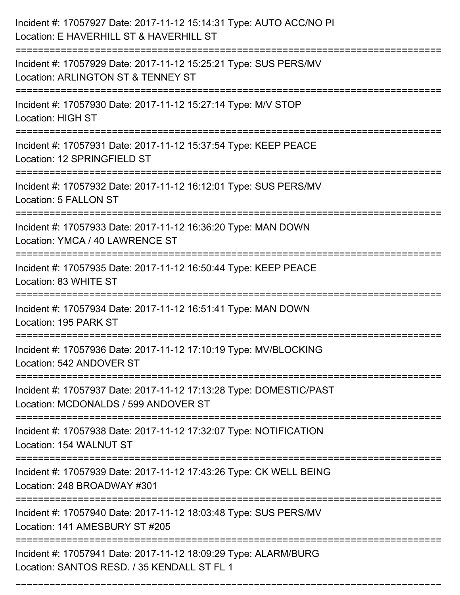| Incident #: 17057927 Date: 2017-11-12 15:14:31 Type: AUTO ACC/NO PI<br>Location: E HAVERHILL ST & HAVERHILL ST                      |
|-------------------------------------------------------------------------------------------------------------------------------------|
| Incident #: 17057929 Date: 2017-11-12 15:25:21 Type: SUS PERS/MV<br>Location: ARLINGTON ST & TENNEY ST                              |
| Incident #: 17057930 Date: 2017-11-12 15:27:14 Type: M/V STOP<br><b>Location: HIGH ST</b>                                           |
| Incident #: 17057931 Date: 2017-11-12 15:37:54 Type: KEEP PEACE<br>Location: 12 SPRINGFIELD ST                                      |
| Incident #: 17057932 Date: 2017-11-12 16:12:01 Type: SUS PERS/MV<br>Location: 5 FALLON ST                                           |
| Incident #: 17057933 Date: 2017-11-12 16:36:20 Type: MAN DOWN<br>Location: YMCA / 40 LAWRENCE ST                                    |
| Incident #: 17057935 Date: 2017-11-12 16:50:44 Type: KEEP PEACE<br>Location: 83 WHITE ST                                            |
| Incident #: 17057934 Date: 2017-11-12 16:51:41 Type: MAN DOWN<br>Location: 195 PARK ST                                              |
| Incident #: 17057936 Date: 2017-11-12 17:10:19 Type: MV/BLOCKING<br>Location: 542 ANDOVER ST                                        |
| Incident #: 17057937 Date: 2017-11-12 17:13:28 Type: DOMESTIC/PAST<br>Location: MCDONALDS / 599 ANDOVER ST                          |
| Incident #: 17057938 Date: 2017-11-12 17:32:07 Type: NOTIFICATION<br>Location: 154 WALNUT ST                                        |
| Incident #: 17057939 Date: 2017-11-12 17:43:26 Type: CK WELL BEING<br>Location: 248 BROADWAY #301                                   |
| =============================<br>Incident #: 17057940 Date: 2017-11-12 18:03:48 Type: SUS PERS/MV<br>Location: 141 AMESBURY ST #205 |
| Incident #: 17057941 Date: 2017-11-12 18:09:29 Type: ALARM/BURG<br>Location: SANTOS RESD. / 35 KENDALL ST FL 1                      |

===========================================================================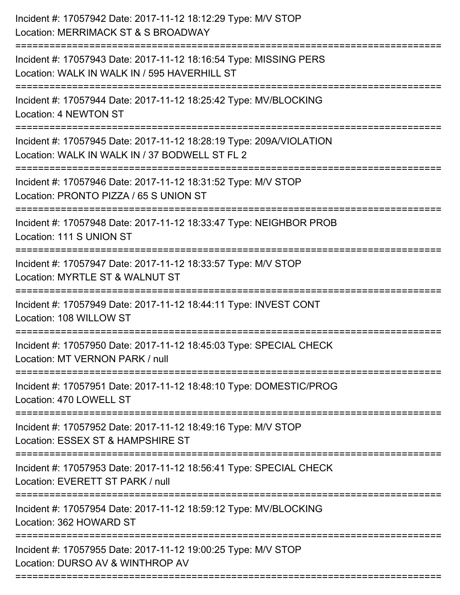| Incident #: 17057942 Date: 2017-11-12 18:12:29 Type: M/V STOP<br>Location: MERRIMACK ST & S BROADWAY<br>.-------------------------------- |
|-------------------------------------------------------------------------------------------------------------------------------------------|
| Incident #: 17057943 Date: 2017-11-12 18:16:54 Type: MISSING PERS<br>Location: WALK IN WALK IN / 595 HAVERHILL ST                         |
| Incident #: 17057944 Date: 2017-11-12 18:25:42 Type: MV/BLOCKING<br>Location: 4 NEWTON ST                                                 |
| Incident #: 17057945 Date: 2017-11-12 18:28:19 Type: 209A/VIOLATION<br>Location: WALK IN WALK IN / 37 BODWELL ST FL 2                     |
| Incident #: 17057946 Date: 2017-11-12 18:31:52 Type: M/V STOP<br>Location: PRONTO PIZZA / 65 S UNION ST<br>------------------             |
| Incident #: 17057948 Date: 2017-11-12 18:33:47 Type: NEIGHBOR PROB<br>Location: 111 S UNION ST                                            |
| Incident #: 17057947 Date: 2017-11-12 18:33:57 Type: M/V STOP<br>Location: MYRTLE ST & WALNUT ST<br>==========                            |
| Incident #: 17057949 Date: 2017-11-12 18:44:11 Type: INVEST CONT<br>Location: 108 WILLOW ST                                               |
| Incident #: 17057950 Date: 2017-11-12 18:45:03 Type: SPECIAL CHECK<br>Location: MT VERNON PARK / null                                     |
| Incident #: 17057951 Date: 2017-11-12 18:48:10 Type: DOMESTIC/PROG<br>Location: 470 LOWELL ST                                             |
| Incident #: 17057952 Date: 2017-11-12 18:49:16 Type: M/V STOP<br>Location: ESSEX ST & HAMPSHIRE ST                                        |
| Incident #: 17057953 Date: 2017-11-12 18:56:41 Type: SPECIAL CHECK<br>Location: EVERETT ST PARK / null                                    |
| Incident #: 17057954 Date: 2017-11-12 18:59:12 Type: MV/BLOCKING<br>Location: 362 HOWARD ST                                               |
| Incident #: 17057955 Date: 2017-11-12 19:00:25 Type: M/V STOP<br>Location: DURSO AV & WINTHROP AV                                         |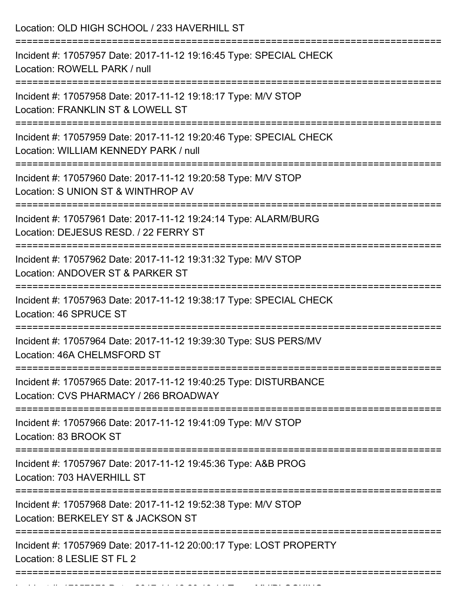| Location: OLD HIGH SCHOOL / 233 HAVERHILL ST                                                                                       |
|------------------------------------------------------------------------------------------------------------------------------------|
| Incident #: 17057957 Date: 2017-11-12 19:16:45 Type: SPECIAL CHECK<br>Location: ROWELL PARK / null                                 |
| Incident #: 17057958 Date: 2017-11-12 19:18:17 Type: M/V STOP<br>Location: FRANKLIN ST & LOWELL ST<br>;=========================== |
| Incident #: 17057959 Date: 2017-11-12 19:20:46 Type: SPECIAL CHECK<br>Location: WILLIAM KENNEDY PARK / null                        |
| Incident #: 17057960 Date: 2017-11-12 19:20:58 Type: M/V STOP<br>Location: S UNION ST & WINTHROP AV                                |
| .---------------------<br>Incident #: 17057961 Date: 2017-11-12 19:24:14 Type: ALARM/BURG<br>Location: DEJESUS RESD. / 22 FERRY ST |
| Incident #: 17057962 Date: 2017-11-12 19:31:32 Type: M/V STOP<br>Location: ANDOVER ST & PARKER ST                                  |
| Incident #: 17057963 Date: 2017-11-12 19:38:17 Type: SPECIAL CHECK<br>Location: 46 SPRUCE ST                                       |
| Incident #: 17057964 Date: 2017-11-12 19:39:30 Type: SUS PERS/MV<br>Location: 46A CHELMSFORD ST                                    |
| Incident #: 17057965 Date: 2017-11-12 19:40:25 Type: DISTURBANCE<br>Location: CVS PHARMACY / 266 BROADWAY                          |
| Incident #: 17057966 Date: 2017-11-12 19:41:09 Type: M/V STOP<br>Location: 83 BROOK ST                                             |
| Incident #: 17057967 Date: 2017-11-12 19:45:36 Type: A&B PROG<br>Location: 703 HAVERHILL ST                                        |
| Incident #: 17057968 Date: 2017-11-12 19:52:38 Type: M/V STOP<br>Location: BERKELEY ST & JACKSON ST                                |
| Incident #: 17057969 Date: 2017-11-12 20:00:17 Type: LOST PROPERTY<br>Location: 8 LESLIE ST FL 2                                   |

Incident #: 17057970 Date: 2017 11 12 2017 12 2017 12 2017 12 2017 12 2017 12 20<br>.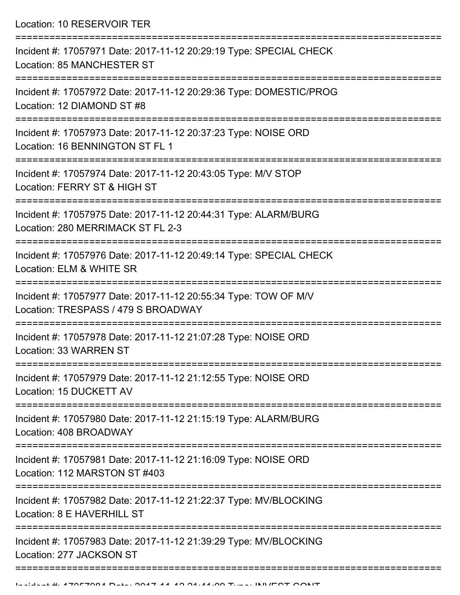Location: 10 RESERVOIR TER ===========================================================================

Incident #: 17057971 Date: 2017-11-12 20:29:19 Type: SPECIAL CHECK Location: 85 MANCHESTER ST =========================================================================== Incident #: 17057972 Date: 2017-11-12 20:29:36 Type: DOMESTIC/PROG Location: 12 DIAMOND ST #8 =========================================================================== Incident #: 17057973 Date: 2017-11-12 20:37:23 Type: NOISE ORD Location: 16 BENNINGTON ST FL 1 =========================================================================== Incident #: 17057974 Date: 2017-11-12 20:43:05 Type: M/V STOP Location: FERRY ST & HIGH ST =========================================================================== Incident #: 17057975 Date: 2017-11-12 20:44:31 Type: ALARM/BURG Location: 280 MERRIMACK ST FL 2-3 =========================================================================== Incident #: 17057976 Date: 2017-11-12 20:49:14 Type: SPECIAL CHECK Location: ELM & WHITE SR =========================================================================== Incident #: 17057977 Date: 2017-11-12 20:55:34 Type: TOW OF M/V Location: TRESPASS / 479 S BROADWAY =========================================================================== Incident #: 17057978 Date: 2017-11-12 21:07:28 Type: NOISE ORD Location: 33 WARREN ST =========================================================================== Incident #: 17057979 Date: 2017-11-12 21:12:55 Type: NOISE ORD Location: 15 DUCKETT AV =========================================================================== Incident #: 17057980 Date: 2017-11-12 21:15:19 Type: ALARM/BURG Location: 408 BROADWAY =========================================================================== Incident #: 17057981 Date: 2017-11-12 21:16:09 Type: NOISE ORD Location: 112 MARSTON ST #403 =========================================================================== Incident #: 17057982 Date: 2017-11-12 21:22:37 Type: MV/BLOCKING Location: 8 F HAVERHILL ST =========================================================================== Incident #: 17057983 Date: 2017-11-12 21:39:29 Type: MV/BLOCKING Location: 277 JACKSON ST ===========================================================================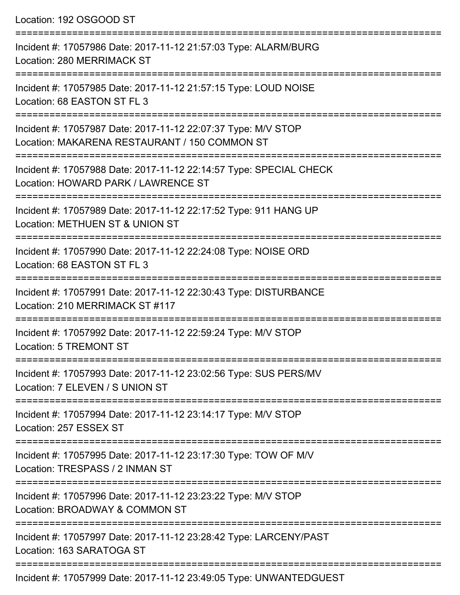Location: 192 OSGOOD ST =========================================================================== Incident #: 17057986 Date: 2017-11-12 21:57:03 Type: ALARM/BURG Location: 280 MERRIMACK ST =========================================================================== Incident #: 17057985 Date: 2017-11-12 21:57:15 Type: LOUD NOISE Location: 68 EASTON ST FL 3 =========================================================================== Incident #: 17057987 Date: 2017-11-12 22:07:37 Type: M/V STOP Location: MAKARENA RESTAURANT / 150 COMMON ST =========================================================================== Incident #: 17057988 Date: 2017-11-12 22:14:57 Type: SPECIAL CHECK Location: HOWARD PARK / LAWRENCE ST =========================================================================== Incident #: 17057989 Date: 2017-11-12 22:17:52 Type: 911 HANG UP Location: METHUEN ST & UNION ST =========================================================================== Incident #: 17057990 Date: 2017-11-12 22:24:08 Type: NOISE ORD Location: 68 EASTON ST FL 3 =========================================================================== Incident #: 17057991 Date: 2017-11-12 22:30:43 Type: DISTURBANCE Location: 210 MERRIMACK ST #117 =========================================================================== Incident #: 17057992 Date: 2017-11-12 22:59:24 Type: M/V STOP Location: 5 TREMONT ST =========================================================================== Incident #: 17057993 Date: 2017-11-12 23:02:56 Type: SUS PERS/MV Location: 7 ELEVEN / S UNION ST =========================================================================== Incident #: 17057994 Date: 2017-11-12 23:14:17 Type: M/V STOP Location: 257 ESSEX ST =========================================================================== Incident #: 17057995 Date: 2017-11-12 23:17:30 Type: TOW OF M/V Location: TRESPASS / 2 INMAN ST =========================================================================== Incident #: 17057996 Date: 2017-11-12 23:23:22 Type: M/V STOP Location: BROADWAY & COMMON ST =========================================================================== Incident #: 17057997 Date: 2017-11-12 23:28:42 Type: LARCENY/PAST Location: 163 SARATOGA ST ===========================================================================

Incident #: 17057999 Date: 2017-11-12 23:49:05 Type: UNWANTEDGUEST